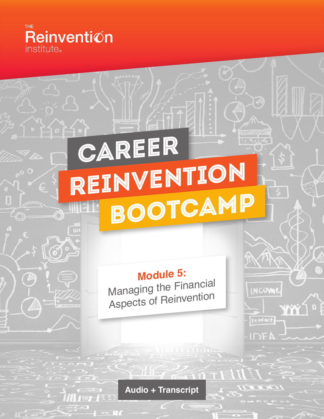

G

## Career REINVENTION Bootcamp

**Module 5:** Managing the Financial Aspects of Reinvention

INCOME

product

**IDE!** 

Ϋ́Ň

**Audio + Transcript**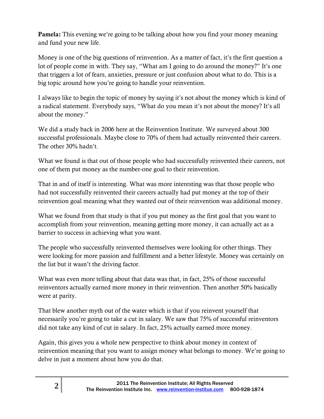**Pamela:** This evening we're going to be talking about how you find your money meaning and fund your new life.

Money is one of the big questions of reinvention. As a matter of fact, it's the first question a lot of people come in with. They say, "What am I going to do around the money?" It's one that triggers a lot of fears, anxieties, pressure or just confusion about what to do. This is a big topic around how you're going to handle your reinvention.

I always like to begin the topic of money by saying it's not about the money which is kind of a radical statement. Everybody says, "What do you mean it's not about the money? It's all about the money."

We did a study back in 2006 here at the Reinvention Institute. We surveyed about 300 successful professionals. Maybe close to 70% of them had actually reinvented their careers. The other 30% hadn't.

What we found is that out of those people who had successfully reinvented their careers, not one of them put money as the number-one goal to their reinvention.

That in and of itself is interesting. What was more interesting was that those people who had not successfully reinvented their careers actually had put money at the top of their reinvention goal meaning what they wanted out of their reinvention was additional money.

What we found from that study is that if you put money as the first goal that you want to accomplish from your reinvention, meaning getting more money, it can actually act as a barrier to success in achieving what you want.

The people who successfully reinvented themselves were looking for other things. They were looking for more passion and fulfillment and a better lifestyle. Money was certainly on the list but it wasn't the driving factor.

What was even more telling about that data was that, in fact, 25% of those successful reinventors actually earned more money in their reinvention. Then another 50% basically were at parity.

That blew another myth out of the water which is that if you reinvent yourself that necessarily you're going to take a cut in salary. We saw that 75% of successful reinventors did not take any kind of cut in salary. In fact, 25% actually earned more money.

Again, this gives you a whole new perspective to think about money in context of reinvention meaning that you want to assign money what belongs to money. We're going to delve in just a moment about how you do that.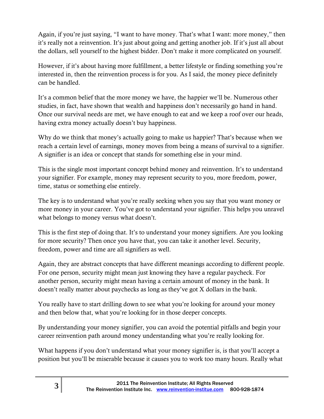Again, if you're just saying, "I want to have money. That's what I want: more money," then it's really not a reinvention. It's just about going and getting another job. If it's just all about the dollars, sell yourself to the highest bidder. Don't make it more complicated on yourself.

However, if it's about having more fulfillment, a better lifestyle or finding something you're interested in, then the reinvention process is for you. As I said, the money piece definitely can be handled.

It's a common belief that the more money we have, the happier we'll be. Numerous other studies, in fact, have shown that wealth and happiness don't necessarily go hand in hand. Once our survival needs are met, we have enough to eat and we keep a roof over our heads, having extra money actually doesn't buy happiness.

Why do we think that money's actually going to make us happier? That's because when we reach a certain level of earnings, money moves from being a means of survival to a signifier. A signifier is an idea or concept that stands for something else in your mind.

This is the single most important concept behind money and reinvention. It's to understand your signifier. For example, money may represent security to you, more freedom, power, time, status or something else entirely.

The key is to understand what you're really seeking when you say that you want money or more money in your career. You've got to understand your signifier. This helps you unravel what belongs to money versus what doesn't.

This is the first step of doing that. It's to understand your money signifiers. Are you looking for more security? Then once you have that, you can take it another level. Security, freedom, power and time are all signifiers as well.

Again, they are abstract concepts that have different meanings according to different people. For one person, security might mean just knowing they have a regular paycheck. For another person, security might mean having a certain amount of money in the bank. It doesn't really matter about paychecks as long as they've got X dollars in the bank.

You really have to start drilling down to see what you're looking for around your money and then below that, what you're looking for in those deeper concepts.

By understanding your money signifier, you can avoid the potential pitfalls and begin your career reinvention path around money understanding what you're really looking for.

What happens if you don't understand what your money signifier is, is that you'll accept a position but you'll be miserable because it causes you to work too many hours. Really what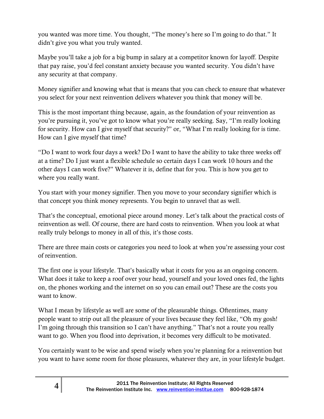you wanted was more time. You thought, "The money's here so I'm going to do that." It didn't give you what you truly wanted.

Maybe you'll take a job for a big bump in salary at a competitor known for layoff. Despite that pay raise, you'd feel constant anxiety because you wanted security. You didn't have any security at that company.

Money signifier and knowing what that is means that you can check to ensure that whatever you select for your next reinvention delivers whatever you think that money will be.

This is the most important thing because, again, as the foundation of your reinvention as you're pursuing it, you've got to know what you're really seeking. Say, "I'm really looking for security. How can I give myself that security?" or, "What I'm really looking for is time. How can I give myself that time?

"Do I want to work four days a week? Do I want to have the ability to take three weeks off at a time? Do I just want a flexible schedule so certain days I can work 10 hours and the other days I can work five?" Whatever it is, define that for you. This is how you get to where you really want.

You start with your money signifier. Then you move to your secondary signifier which is that concept you think money represents. You begin to unravel that as well.

That's the conceptual, emotional piece around money. Let's talk about the practical costs of reinvention as well. Of course, there are hard costs to reinvention. When you look at what really truly belongs to money in all of this, it's those costs.

There are three main costs or categories you need to look at when you're assessing your cost of reinvention.

The first one is your lifestyle. That's basically what it costs for you as an ongoing concern. What does it take to keep a roof over your head, yourself and your loved ones fed, the lights on, the phones working and the internet on so you can email out? These are the costs you want to know.

What I mean by lifestyle as well are some of the pleasurable things. Oftentimes, many people want to strip out all the pleasure of your lives because they feel like, "Oh my gosh! I'm going through this transition so I can't have anything." That's not a route you really want to go. When you flood into deprivation, it becomes very difficult to be motivated.

You certainly want to be wise and spend wisely when you're planning for a reinvention but you want to have some room for those pleasures, whatever they are, in your lifestyle budget.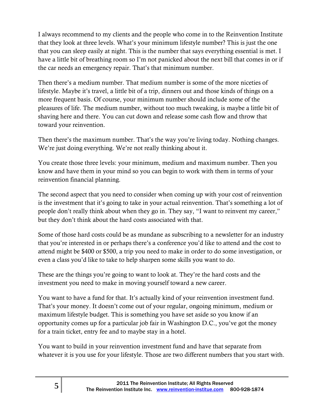I always recommend to my clients and the people who come in to the Reinvention Institute that they look at three levels. What's your minimum lifestyle number? This is just the one that you can sleep easily at night. This is the number that says everything essential is met. I have a little bit of breathing room so I'm not panicked about the next bill that comes in or if the car needs an emergency repair. That's that minimum number.

Then there's a medium number. That medium number is some of the more niceties of lifestyle. Maybe it's travel, a little bit of a trip, dinners out and those kinds of things on a more frequent basis. Of course, your minimum number should include some of the pleasures of life. The medium number, without too much tweaking, is maybe a little bit of shaving here and there. You can cut down and release some cash flow and throw that toward your reinvention.

Then there's the maximum number. That's the way you're living today. Nothing changes. We're just doing everything. We're not really thinking about it.

You create those three levels: your minimum, medium and maximum number. Then you know and have them in your mind so you can begin to work with them in terms of your reinvention financial planning.

The second aspect that you need to consider when coming up with your cost of reinvention is the investment that it's going to take in your actual reinvention. That's something a lot of people don't really think about when they go in. They say, "I want to reinvent my career," but they don't think about the hard costs associated with that.

Some of those hard costs could be as mundane as subscribing to a newsletter for an industry that you're interested in or perhaps there's a conference you'd like to attend and the cost to attend might be \$400 or \$500, a trip you need to make in order to do some investigation, or even a class you'd like to take to help sharpen some skills you want to do.

These are the things you're going to want to look at. They're the hard costs and the investment you need to make in moving yourself toward a new career.

You want to have a fund for that. It's actually kind of your reinvention investment fund. That's your money. It doesn't come out of your regular, ongoing minimum, medium or maximum lifestyle budget. This is something you have set aside so you know if an opportunity comes up for a particular job fair in Washington D.C., you've got the money for a train ticket, entry fee and to maybe stay in a hotel.

You want to build in your reinvention investment fund and have that separate from whatever it is you use for your lifestyle. Those are two different numbers that you start with.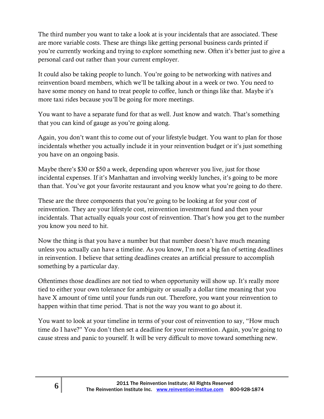The third number you want to take a look at is your incidentals that are associated. These are more variable costs. These are things like getting personal business cards printed if you're currently working and trying to explore something new. Often it's better just to give a personal card out rather than your current employer.

It could also be taking people to lunch. You're going to be networking with natives and reinvention board members, which we'll be talking about in a week or two. You need to have some money on hand to treat people to coffee, lunch or things like that. Maybe it's more taxi rides because you'll be going for more meetings.

You want to have a separate fund for that as well. Just know and watch. That's something that you can kind of gauge as you're going along.

Again, you don't want this to come out of your lifestyle budget. You want to plan for those incidentals whether you actually include it in your reinvention budget or it's just something you have on an ongoing basis.

Maybe there's \$30 or \$50 a week, depending upon wherever you live, just for those incidental expenses. If it's Manhattan and involving weekly lunches, it's going to be more than that. You've got your favorite restaurant and you know what you're going to do there.

These are the three components that you're going to be looking at for your cost of reinvention. They are your lifestyle cost, reinvention investment fund and then your incidentals. That actually equals your cost of reinvention. That's how you get to the number you know you need to hit.

Now the thing is that you have a number but that number doesn't have much meaning unless you actually can have a timeline. As you know, I'm not a big fan of setting deadlines in reinvention. I believe that setting deadlines creates an artificial pressure to accomplish something by a particular day.

Oftentimes those deadlines are not tied to when opportunity will show up. It's really more tied to either your own tolerance for ambiguity or usually a dollar time meaning that you have X amount of time until your funds run out. Therefore, you want your reinvention to happen within that time period. That is not the way you want to go about it.

You want to look at your timeline in terms of your cost of reinvention to say, "How much time do I have?" You don't then set a deadline for your reinvention. Again, you're going to cause stress and panic to yourself. It will be very difficult to move toward something new.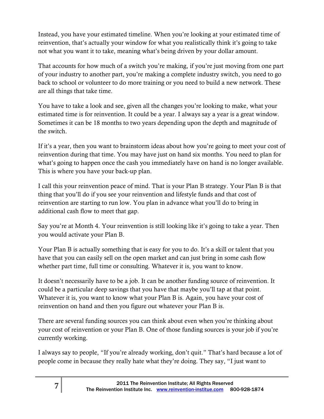Instead, you have your estimated timeline. When you're looking at your estimated time of reinvention, that's actually your window for what you realistically think it's going to take not what you want it to take, meaning what's being driven by your dollar amount.

That accounts for how much of a switch you're making, if you're just moving from one part of your industry to another part, you're making a complete industry switch, you need to go back to school or volunteer to do more training or you need to build a new network. These are all things that take time.

You have to take a look and see, given all the changes you're looking to make, what your estimated time is for reinvention. It could be a year. I always say a year is a great window. Sometimes it can be 18 months to two years depending upon the depth and magnitude of the switch.

If it's a year, then you want to brainstorm ideas about how you're going to meet your cost of reinvention during that time. You may have just on hand six months. You need to plan for what's going to happen once the cash you immediately have on hand is no longer available. This is where you have your back-up plan.

I call this your reinvention peace of mind. That is your Plan B strategy. Your Plan B is that thing that you'll do if you see your reinvention and lifestyle funds and that cost of reinvention are starting to run low. You plan in advance what you'll do to bring in additional cash flow to meet that gap.

Say you're at Month 4. Your reinvention is still looking like it's going to take a year. Then you would activate your Plan B.

Your Plan B is actually something that is easy for you to do. It's a skill or talent that you have that you can easily sell on the open market and can just bring in some cash flow whether part time, full time or consulting. Whatever it is, you want to know.

It doesn't necessarily have to be a job. It can be another funding source of reinvention. It could be a particular deep savings that you have that maybe you'll tap at that point. Whatever it is, you want to know what your Plan B is. Again, you have your cost of reinvention on hand and then you figure out whatever your Plan B is.

There are several funding sources you can think about even when you're thinking about your cost of reinvention or your Plan B. One of those funding sources is your job if you're currently working.

I always say to people, "If you're already working, don't quit." That's hard because a lot of people come in because they really hate what they're doing. They say, "I just want to